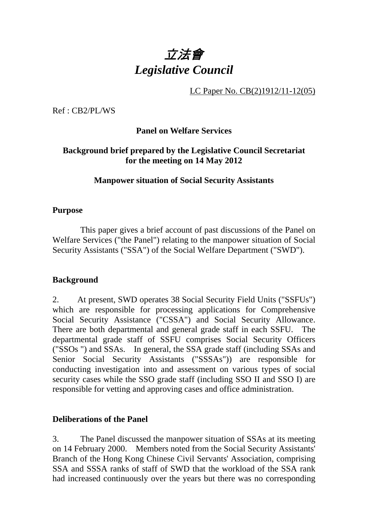

LC Paper No. CB(2)1912/11-12(05)

Ref : CB2/PL/WS

## **Panel on Welfare Services**

## **Background brief prepared by the Legislative Council Secretariat for the meeting on 14 May 2012**

### **Manpower situation of Social Security Assistants**

#### **Purpose**

This paper gives a brief account of past discussions of the Panel on Welfare Services ("the Panel") relating to the manpower situation of Social Security Assistants ("SSA") of the Social Welfare Department ("SWD").

#### **Background**

2. At present, SWD operates 38 Social Security Field Units ("SSFUs") which are responsible for processing applications for Comprehensive Social Security Assistance ("CSSA") and Social Security Allowance. There are both departmental and general grade staff in each SSFU. The departmental grade staff of SSFU comprises Social Security Officers ("SSOs ") and SSAs. In general, the SSA grade staff (including SSAs and Senior Social Security Assistants ("SSSAs")) are responsible for conducting investigation into and assessment on various types of social security cases while the SSO grade staff (including SSO II and SSO I) are responsible for vetting and approving cases and office administration.

#### **Deliberations of the Panel**

3. The Panel discussed the manpower situation of SSAs at its meeting on 14 February 2000. Members noted from the Social Security Assistants' Branch of the Hong Kong Chinese Civil Servants' Association, comprising SSA and SSSA ranks of staff of SWD that the workload of the SSA rank had increased continuously over the years but there was no corresponding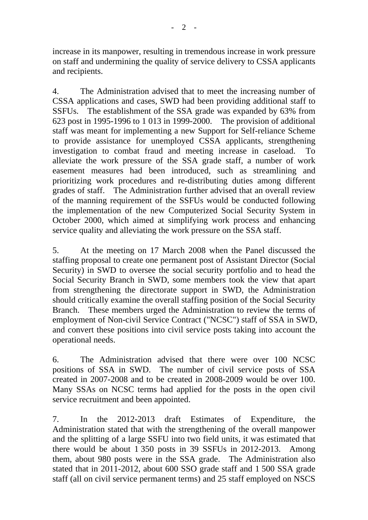increase in its manpower, resulting in tremendous increase in work pressure on staff and undermining the quality of service delivery to CSSA applicants and recipients.

4. The Administration advised that to meet the increasing number of CSSA applications and cases, SWD had been providing additional staff to SSFUs. The establishment of the SSA grade was expanded by 63% from 623 post in 1995-1996 to 1,013 in 1999-2000. The provision of additional staff was meant for implementing a new Support for Self-reliance Scheme to provide assistance for unemployed CSSA applicants, strengthening investigation to combat fraud and meeting increase in caseload. alleviate the work pressure of the SSA grade staff, a number of work easement measures had been introduced, such as streamlining and prioritizing work procedures and re-distributing duties among different grades of staff. The Administration further advised that an overall review of the manning requirement of the SSFUs would be conducted following the implementation of the new Computerized Social Security System in October 2000, which aimed at simplifying work process and enhancing service quality and alleviating the work pressure on the SSA staff.

5. At the meeting on 17 March 2008 when the Panel discussed the staffing proposal to create one permanent post of Assistant Director (Social Security) in SWD to oversee the social security portfolio and to head the Social Security Branch in SWD, some members took the view that apart from strengthening the directorate support in SWD, the Administration should critically examine the overall staffing position of the Social Security Branch. These members urged the Administration to review the terms of employment of Non-civil Service Contract ("NCSC") staff of SSA in SWD, and convert these positions into civil service posts taking into account the operational needs.

6. The Administration advised that there were over 100 NCSC positions of SSA in SWD. The number of civil service posts of SSA created in 2007-2008 and to be created in 2008-2009 would be over 100. Many SSAs on NCSC terms had applied for the posts in the open civil service recruitment and been appointed.

7. In the 2012-2013 draft Estimates of Expenditure, the Administration stated that with the strengthening of the overall manpower and the splitting of a large SSFU into two field units, it was estimated that there would be about 1,350 posts in 39 SSFUs in 2012-2013. Among them, about 980 posts were in the SSA grade. The Administration also stated that in 2011-2012, about 600 SSO grade staff and 1500 SSA grade staff (all on civil service permanent terms) and 25 staff employed on NSCS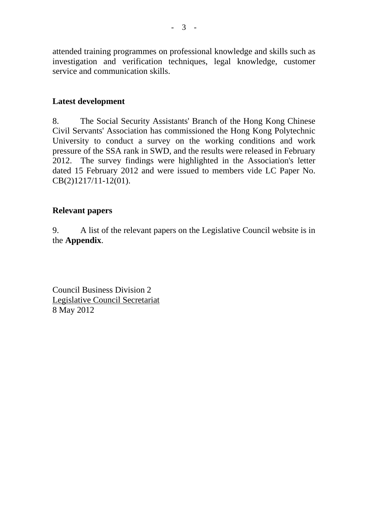attended training programmes on professional knowledge and skills such as investigation and verification techniques, legal knowledge, customer service and communication skills.

## **Latest development**

8. The Social Security Assistants' Branch of the Hong Kong Chinese Civil Servants' Association has commissioned the Hong Kong Polytechnic University to conduct a survey on the working conditions and work pressure of the SSA rank in SWD, and the results were released in February 2012. The survey findings were highlighted in the Association's letter dated 15 February 2012 and were issued to members vide LC Paper No. CB(2)1217/11-12(01).

## **Relevant papers**

9. A list of the relevant papers on the Legislative Council website is in the **Appendix**.

Council Business Division 2 Legislative Council Secretariat 8 May 2012